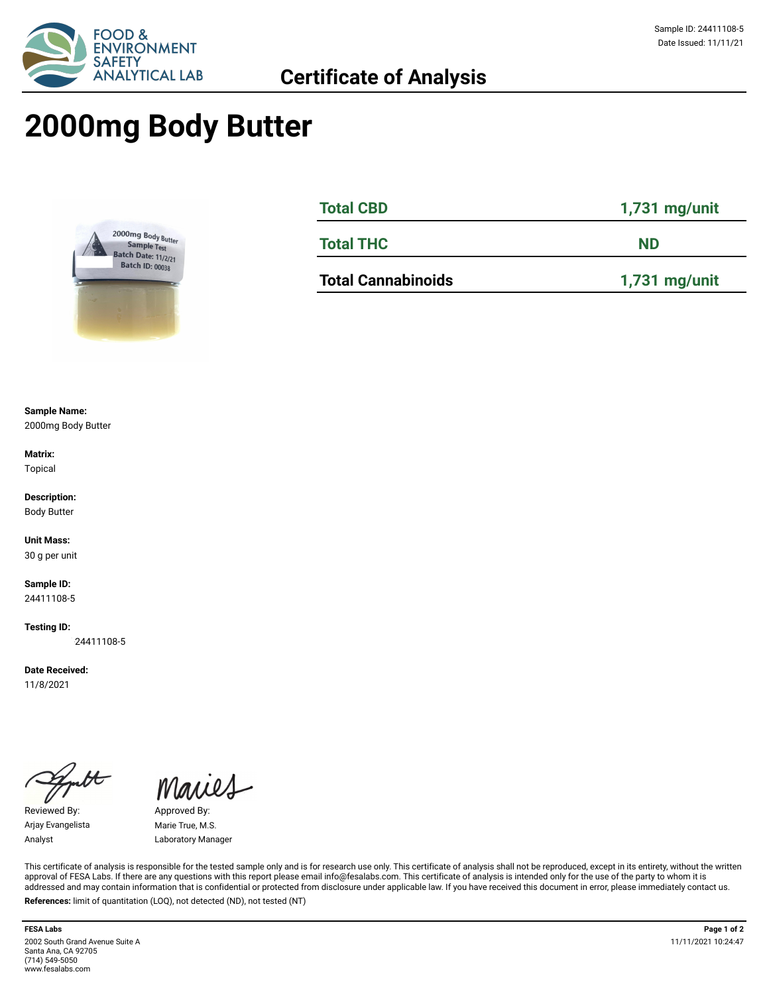

## **2000mg Body Butter**



| <b>Total CBD</b>          | $1,731$ mg/unit<br><b>ND</b> |  |  |
|---------------------------|------------------------------|--|--|
| <b>Total THC</b>          |                              |  |  |
| <b>Total Cannabinoids</b> | $1,731$ mg/unit              |  |  |

**Sample Name:** 

2000mg Body Butter

**Matrix:** Topical

**Description:** Body Butter

**Unit Mass:** 

30 g per unit

**Sample ID:**  24411108-5

**Testing ID:** 

24411108-5

**Date Received:**  11/8/2021

Reviewed By: Approved By: Arjay Evangelista Marie True, M.S.

Maries

Analyst Laboratory Manager

This certificate of analysis is responsible for the tested sample only and is for research use only. This certificate of analysis shall not be reproduced, except in its entirety, without the written approval of FESA Labs. If there are any questions with this report please email info@fesalabs.com. This certificate of analysis is intended only for the use of the party to whom it is addressed and may contain information that is confidential or protected from disclosure under applicable law. If you have received this document in error, please immediately contact us. **References:** limit of quantitation (LOQ), not detected (ND), not tested (NT)

2002 South Grand Avenue Suite A Santa Ana, CA 92705 (714) 549-5050 www.fesalabs.com